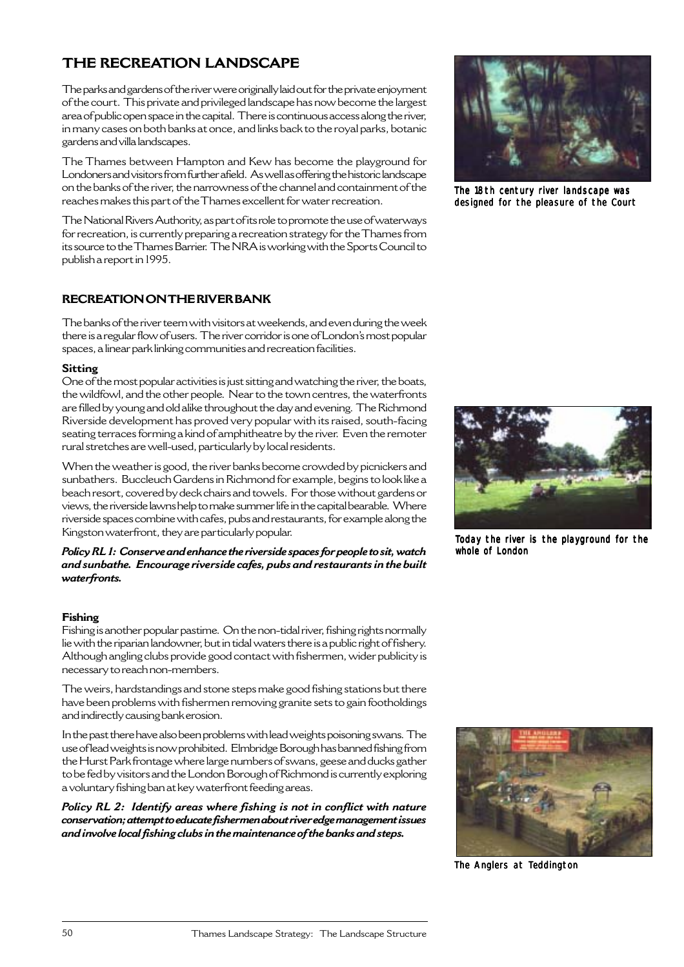# **THE RECREATION LANDSCAPE**

The parks and gardens of the river were originally laid out for the private enjoyment of the court. This private and privileged landscape has now become the largest area of public open space in the capital. There is continuous access along the river, in many cases on both banks at once, and links back to the royal parks, botanic gardens and villa landscapes.

The Thames between Hampton and Kew has become the playground for Londoners and visitors from further afield. As well as offering the historic landscape on the banks of the river, the narrowness of the channel and containment of the reaches makes this part of the Thames excellent for water recreation.

The National Rivers Authority, as part of its role to promote the use of waterways for recreation, is currently preparing a recreation strategy for the Thames from its source to the Thames Barrier. The NRA is working with the Sports Council to publish a report in 1995.

# **RECREATION ON THE RIVER BANK**

The banks of the river teem with visitors at weekends, and even during the week there is a regular flow of users. The river corridor is one of London's most popular spaces, a linear park linking communities and recreation facilities.

## **Sitting**

One of the most popular activities is just sitting and watching the river, the boats, the wildfowl, and the other people. Near to the town centres, the waterfronts are filled by young and old alike throughout the day and evening. The Richmond Riverside development has proved very popular with its raised, south-facing seating terraces forming a kind of amphitheatre by the river. Even the remoter rural stretches are well-used, particularly by local residents.

When the weather is good, the river banks become crowded by picnickers and sunbathers. Buccleuch Gardens in Richmond for example, begins to look like a beach resort, covered by deck chairs and towels. For those without gardens or views, the riverside lawns help to make summer life in the capital bearable. Where riverside spaces combine with cafes, pubs and restaurants, for example along the Kingston waterfront, they are particularly popular.

*Policy RL 1: Conserve and enhance the riverside spaces for people to sit, watch and sunbathe. Encourage riverside cafes, pubs and restaurants in the built waterfronts.*

# **Fishing**

Fishing is another popular pastime. On the non-tidal river, fishing rights normally lie with the riparian landowner, but in tidal waters there is a public right of fishery. Although angling clubs provide good contact with fishermen, wider publicity is necessary to reach non-members.

The weirs, hardstandings and stone steps make good fishing stations but there have been problems with fishermen removing granite sets to gain footholdings and indirectly causing bank erosion.

In the past there have also been problems with lead weights poisoning swans. The use of lead weights is now prohibited. Elmbridge Borough has banned fishing from the Hurst Park frontage where large numbers of swans, geese and ducks gather to be fed by visitors and the London Borough of Richmond is currently exploring a voluntary fishing ban at key waterfront feeding areas.

*Policy RL 2: Identify areas where fishing is not in conflict with nature conservation; attempt to educate fishermen about river edge management issues and involve local fishing clubs in the maintenance of the banks and steps.*



The 18th century river landscape was designed for the pleasure of the Court



Today the river is the playground for the whole of London



The Anglers at Teddington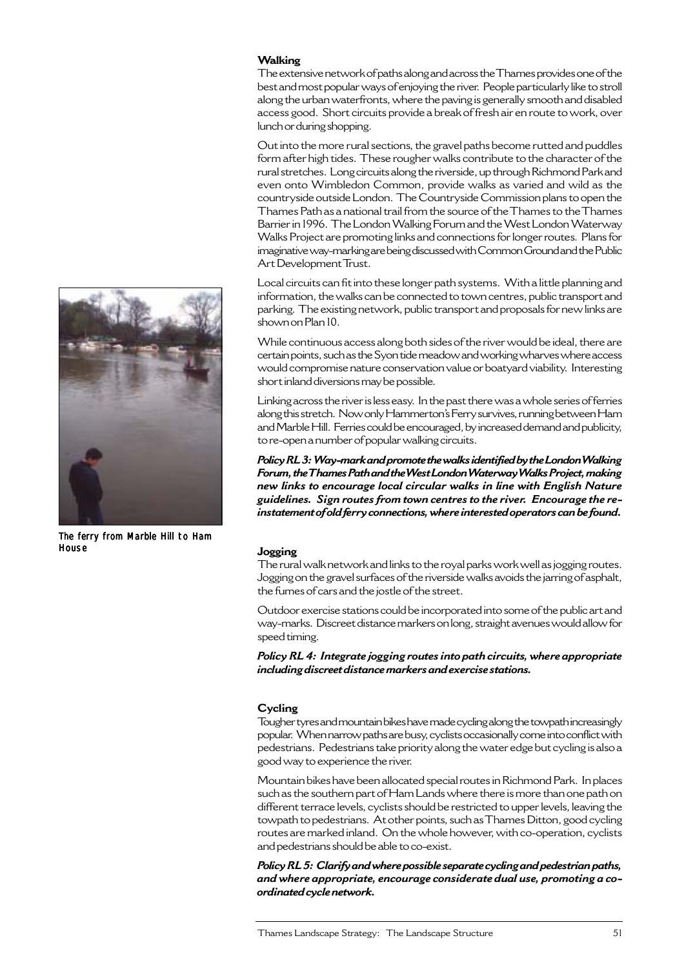#### **Walking**

The extensive network of paths along and across the Thames provides one of the best and most popular ways of enjoying the river. People particularly like to stroll along the urban waterfronts, where the paving is generally smooth and disabled access good. Short circuits provide a break of fresh air en route to work, over lunch or during shopping.

Out into the more rural sections, the gravel paths become rutted and puddles form after high tides. These rougher walks contribute to the character of the rural stretches. Long circuits along the riverside, up through Richmond Park and even onto Wimbledon Common, provide walks as varied and wild as the countryside outside London. The Countryside Commission plans to open the Thames Path as a national trail from the source of the Thames to the Thames Barrier in 1996. The London Walking Forum and the West London Waterway Walks Project are promoting links and connections for longer routes. Plans for imaginative way-marking are being discussed with Common Ground and the Public Art Development Trust.

Local circuits can fit into these longer path systems. With a little planning and information, the walks can be connected to town centres, public transport and parking. The existing network, public transport and proposals for new links are shown on Plan 10.

While continuous access along both sides of the river would be ideal, there are certain points, such as the Syon tide meadow and working wharves where access would compromise nature conservation value or boatyard viability. Interesting short inland diversions may be possible.

Linking across the river is less easy. In the past there was a whole series of ferries along this stretch. Now only Hammerton's Ferry survives, running between Ham and Marble Hill. Ferries could be encouraged, by increased demand and publicity, to re-open a number of popular walking circuits.

*Policy RL 3: Way-mark and promote the walks identified by the London Walking Forum, the Thames Path and the West London Waterway Walks Project, making new links to encourage local circular walks in line with English Nature guidelines. Sign routes from town centres to the river. Encourage the reinstatement of old ferry connections, where interested operators can be found.*

#### **Jogging**

The rural walk network and links to the royal parks work well as jogging routes. Jogging on the gravel surfaces of the riverside walks avoids the jarring of asphalt, the fumes of cars and the jostle of the street.

Outdoor exercise stations could be incorporated into some of the public art and way-marks. Discreet distance markers on long, straight avenues would allow for speed timing.

*Policy RL 4: Integrate jogging routes into path circuits, where appropriate including discreet distance markers and exercise stations.*

#### **Cycling**

Tougher tyres and mountain bikes have made cycling along the towpath increasingly popular. When narrow paths are busy, cyclists occasionally come into conflict with pedestrians. Pedestrians take priority along the water edge but cycling is also a good way to experience the river.

Mountain bikes have been allocated special routes in Richmond Park. In places such as the southern part of Ham Lands where there is more than one path on different terrace levels, cyclists should be restricted to upper levels, leaving the towpath to pedestrians. At other points, such as Thames Ditton, good cycling routes are marked inland. On the whole however, with co-operation, cyclists and pedestrians should be able to co-exist.

*Policy RL 5: Clarify and where possible separate cycling and pedestrian paths, and where appropriate, encourage considerate dual use, promoting a coordinated cycle network.*



The ferry from Marble Hill to Ham **House**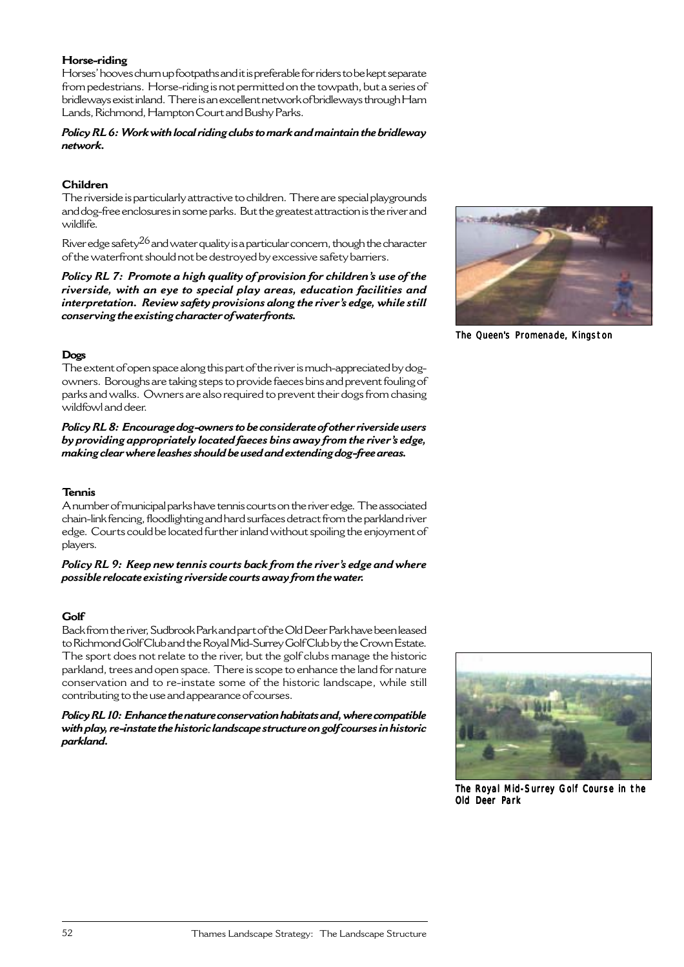#### **Horse-riding**

Horses' hooves churn up footpaths and it is preferable for riders to be kept separate from pedestrians. Horse-riding is not permitted on the towpath, but a series of bridleways exist inland. There is an excellent network of bridleways through Ham Lands, Richmond, Hampton Court and Bushy Parks.

#### *Policy RL 6: Work with local riding clubs to mark and maintain the bridleway network.*

# **Children**

The riverside is particularly attractive to children. There are special playgrounds and dog-free enclosures in some parks. But the greatest attraction is the river and wildlife.

River edge safety<sup>26</sup> and water quality is a particular concern, though the character of the waterfront should not be destroyed by excessive safety barriers.

*Policy RL 7: Promote a high quality of provision for children's use of the riverside, with an eye to special play areas, education facilities and interpretation. Review safety provisions along the river's edge, while still conserving the existing character of waterfronts.*



The Queen's Promenade, Kingston

## **Dogs**

The extent of open space along this part of the river is much-appreciated by dogowners. Boroughs are taking steps to provide faeces bins and prevent fouling of parks and walks. Owners are also required to prevent their dogs from chasing wildfowl and deer.

*Policy RL 8: Encourage dog-owners to be considerate of other riverside users by providing appropriately located faeces bins away from the river's edge, making clear where leashes should be used and extending dog-free areas.*

# **Tennis**

A number of municipal parks have tennis courts on the river edge. The associated chain-link fencing, floodlighting and hard surfaces detract from the parkland river edge. Courts could be located further inland without spoiling the enjoyment of players.

*Policy RL 9: Keep new tennis courts back from the river's edge and where possible relocate existing riverside courts away from the water.*

# **Golf**

Back from the river, Sudbrook Park and part of the Old Deer Park have been leased to Richmond Golf Club and the Royal Mid-Surrey Golf Club by the Crown Estate. The sport does not relate to the river, but the golf clubs manage the historic parkland, trees and open space. There is scope to enhance the land for nature conservation and to re-instate some of the historic landscape, while still contributing to the use and appearance of courses.

*Policy RL 10: Enhance the nature conservation habitats and, where compatible with play, re-instate the historic landscape structure on golf courses in historic parkland.*



The Royal Mid-Surrey Golf Course in the Old Deer Park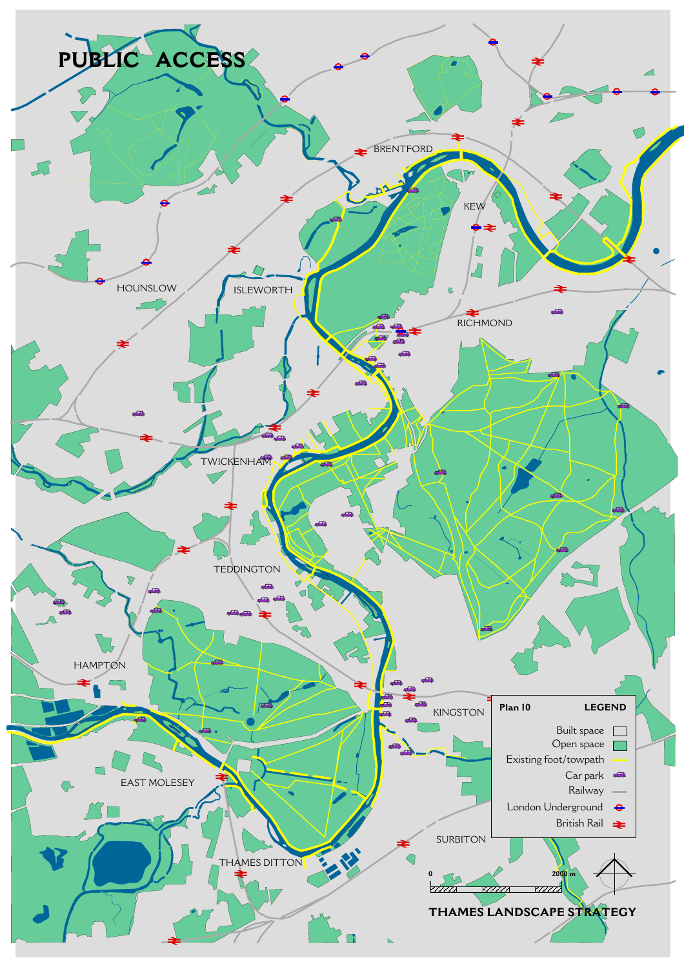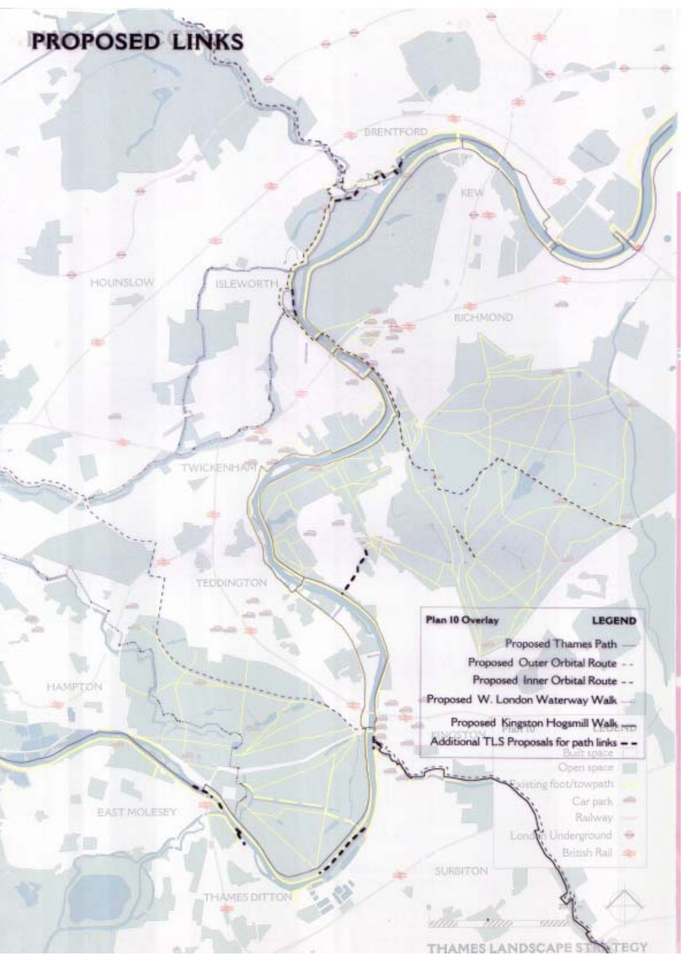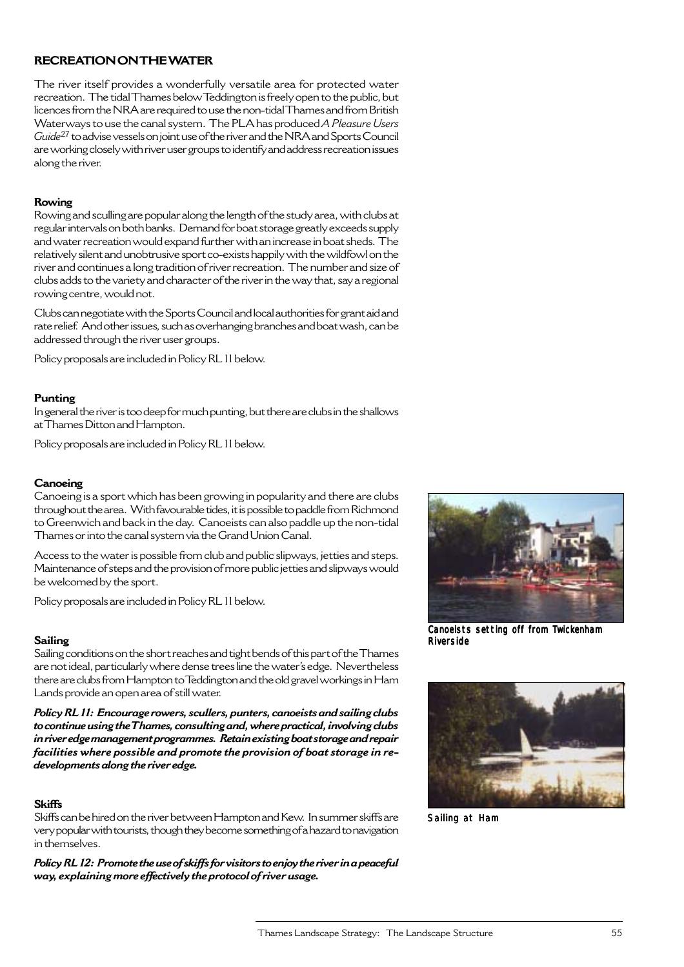# **RECREATION ON THE WATER**

The river itself provides a wonderfully versatile area for protected water recreation. The tidal Thames below Teddington is freely open to the public, but licences from the NRA are required to use the non-tidal Thames and from British Waterways to use the canal system. The PLA has produced *A Pleasure Users Guide*<sup>27</sup> to advise vessels on joint use of the river and the NRA and Sports Council are working closely with river user groups to identify and address recreation issues along the river.

## **Rowing**

Rowing and sculling are popular along the length of the study area, with clubs at regular intervals on both banks. Demand for boat storage greatly exceeds supply and water recreation would expand further with an increase in boat sheds. The relatively silent and unobtrusive sport co-exists happily with the wildfowl on the river and continues a long tradition of river recreation. The number and size of clubs adds to the variety and character of the river in the way that, say a regional rowing centre, would not.

Clubs can negotiate with the Sports Council and local authorities for grant aid and rate relief. And other issues, such as overhanging branches and boat wash, can be addressed through the river user groups.

Policy proposals are included in Policy RL 11 below.

#### **Punting**

In general the river is too deep for much punting, but there are clubs in the shallows at Thames Ditton and Hampton.

Policy proposals are included in Policy RL 11 below.

## **Canoeing**

Canoeing is a sport which has been growing in popularity and there are clubs throughout the area. With favourable tides, it is possible to paddle from Richmond to Greenwich and back in the day. Canoeists can also paddle up the non-tidal Thames or into the canal system via the Grand Union Canal.

Access to the water is possible from club and public slipways, jetties and steps. Maintenance of steps and the provision of more public jetties and slipways would be welcomed by the sport.

Policy proposals are included in Policy RL 11 below.

#### **Sailing**

Sailing conditions on the short reaches and tight bends of this part of the Thames are not ideal, particularly where dense trees line the water's edge. Nevertheless there are clubs from Hampton to Teddington and the old gravel workings in Ham Lands provide an open area of still water.

*Policy RL 11: Encourage rowers, scullers, punters, canoeists and sailing clubs to continue using the Thames, consulting and, where practical, involving clubs in river edge management programmes. Retain existing boat storage and repair facilities where possible and promote the provision of boat storage in redevelopments along the river edge.*

#### **Skiffs**

Skiffs can be hired on the river between Hampton and Kew. In summer skiffs are very popular with tourists, though they become something of a hazard to navigation in themselves.

*Policy RL 12: Promote the use of skiffs for visitors to enjoy the river in a peaceful way, explaining more effectively the protocol of river usage.*



Canoeists setting off from Twickenham Riverside



Sailing at Ham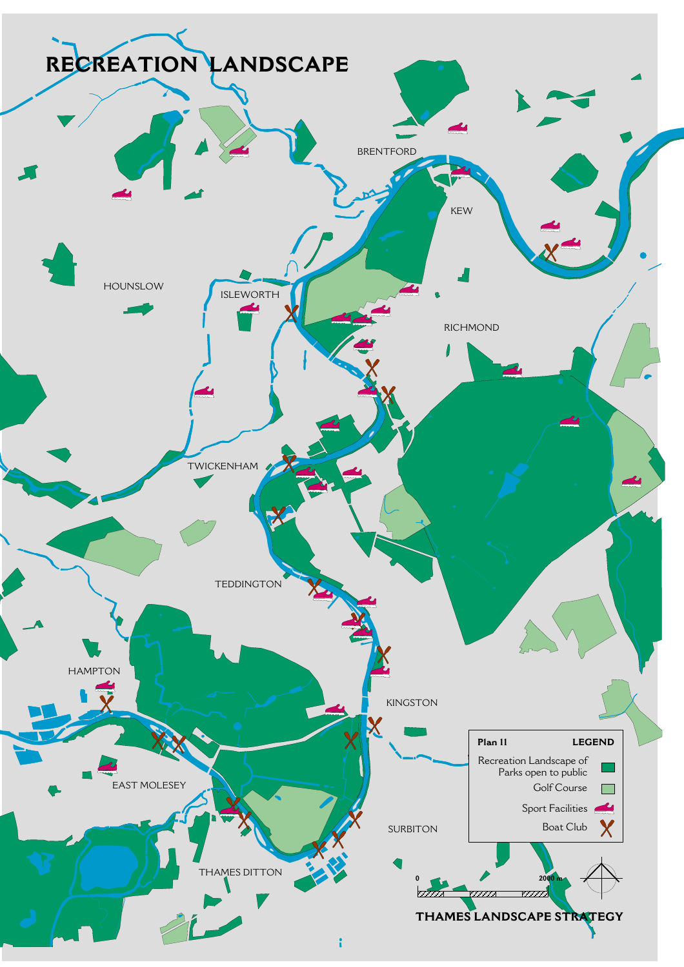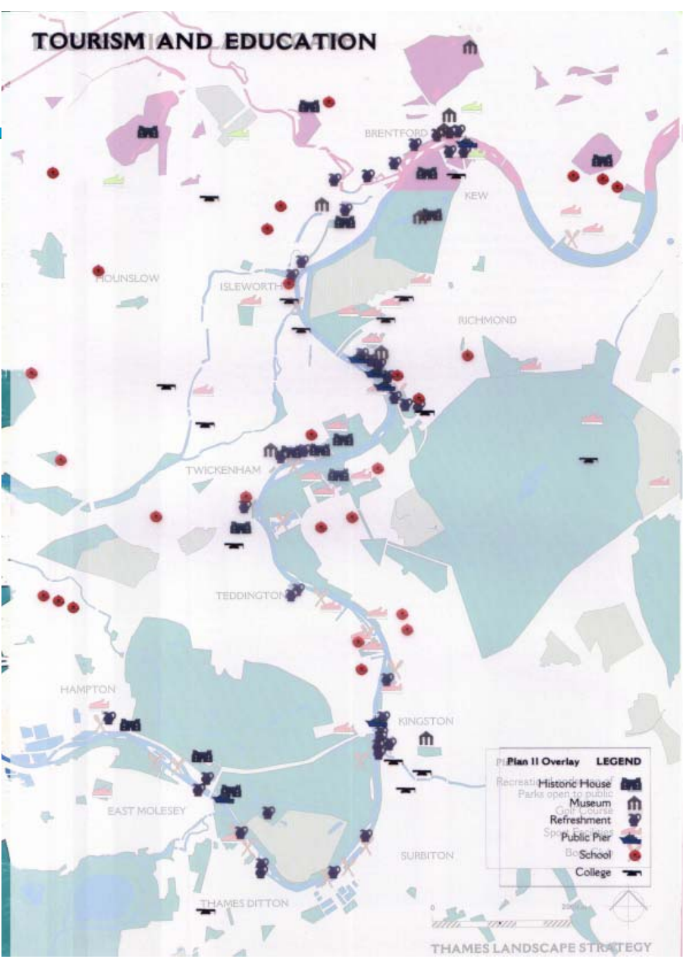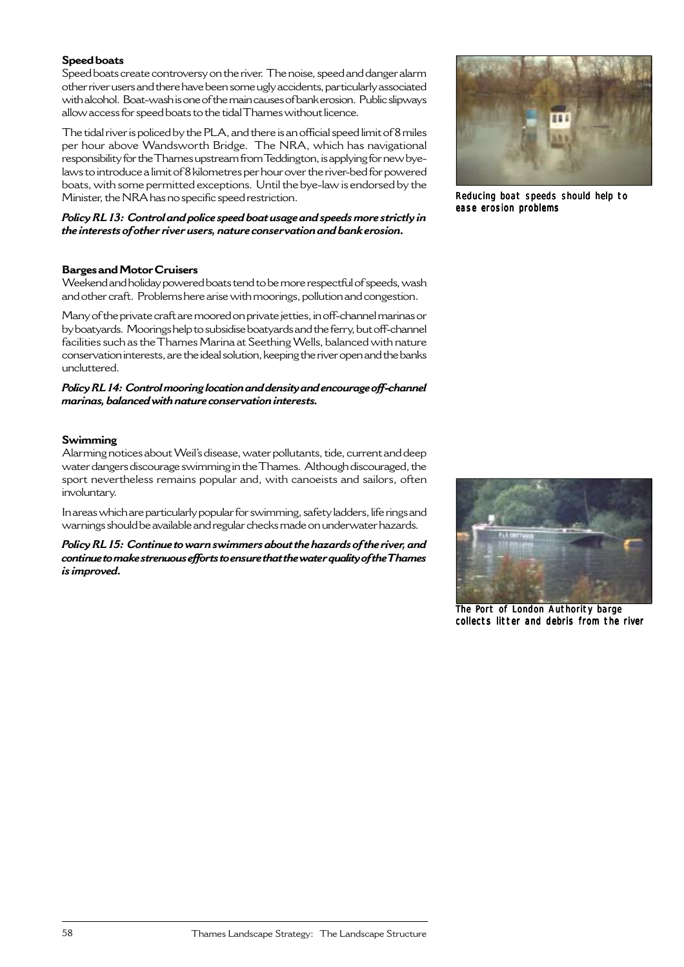## **Speed boats**

Speed boats create controversy on the river. The noise, speed and danger alarm other river users and there have been some ugly accidents, particularly associated with alcohol. Boat-wash is one of the main causes of bank erosion. Public slipways allow access for speed boats to the tidal Thames without licence.

The tidal river is policed by the PLA, and there is an official speed limit of 8 miles per hour above Wandsworth Bridge. The NRA, which has navigational responsibility for the Thames upstream from Teddington, is applying for new byelaws to introduce a limit of 8 kilometres per hour over the river-bed for powered boats, with some permitted exceptions. Until the bye-law is endorsed by the Minister, the NRA has no specific speed restriction.

*Policy RL 13: Control and police speed boat usage and speeds more strictly in the interests of other river users, nature conservation and bank erosion.*

#### **Barges and Motor Cruisers**

Weekend and holiday powered boats tend to be more respectful of speeds, wash and other craft. Problems here arise with moorings, pollution and congestion.

Many of the private craft are moored on private jetties, in off-channel marinas or by boatyards. Moorings help to subsidise boatyards and the ferry, but off-channel facilities such as the Thames Marina at Seething Wells, balanced with nature conservation interests, are the ideal solution, keeping the river open and the banks uncluttered.

#### *Policy RL 14: Control mooring location and density and encourage off-channel marinas, balanced with nature conservation interests.*

#### **Swimming**

Alarming notices about Weil's disease, water pollutants, tide, current and deep water dangers discourage swimming in the Thames. Although discouraged, the sport nevertheless remains popular and, with canoeists and sailors, often involuntary.

In areas which are particularly popular for swimming, safety ladders, life rings and warnings should be available and regular checks made on underwater hazards.

*Policy RL 15: Continue to warn swimmers about the hazards of the river, and continue to make strenuous efforts to ensure that the water quality of the Thames is improved.*



Reducing boat speeds should help to ease erosion problems



The Port of London Authority barge collects litter and debris from the river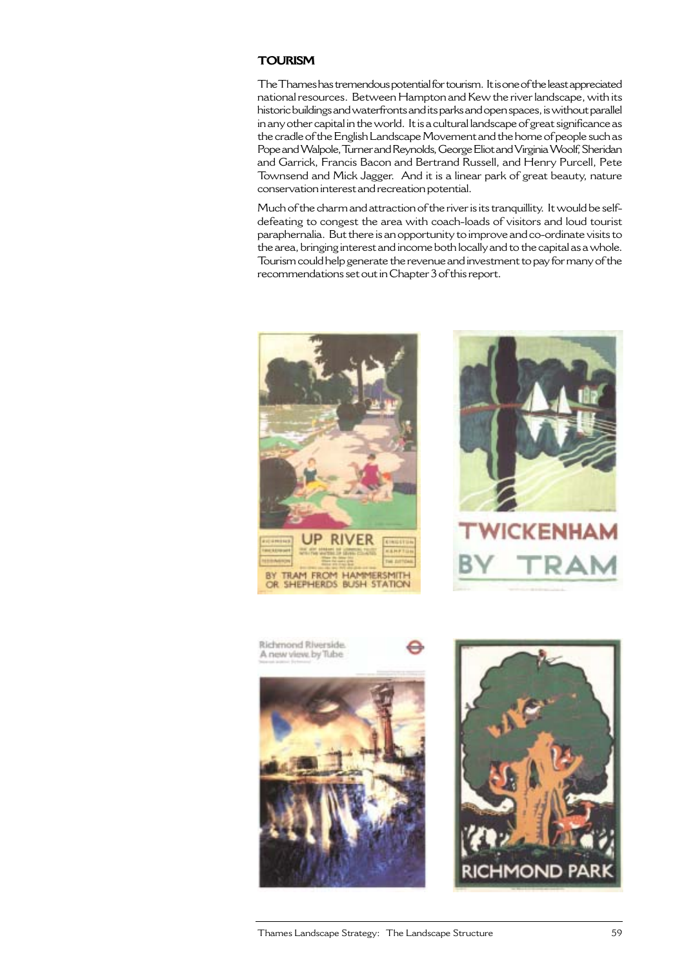# **TOURISM**

The Thames has tremendous potential for tourism. It is one of the least appreciated national resources. Between Hampton and Kew the river landscape, with its historic buildings and waterfronts and its parks and open spaces, is without parallel in any other capital in the world. It is a cultural landscape of great significance as the cradle of the English Landscape Movement and the home of people such as Pope and Walpole, Turner and Reynolds, George Eliot and Virginia Woolf, Sheridan and Garrick, Francis Bacon and Bertrand Russell, and Henry Purcell, Pete Townsend and Mick Jagger. And it is a linear park of great beauty, nature conservation interest and recreation potential.

Much of the charm and attraction of the river is its tranquillity. It would be selfdefeating to congest the area with coach-loads of visitors and loud tourist paraphernalia. But there is an opportunity to improve and co-ordinate visits to the area, bringing interest and income both locally and to the capital as a whole. Tourism could help generate the revenue and investment to pay for many of the recommendations set out in Chapter 3 of this report.







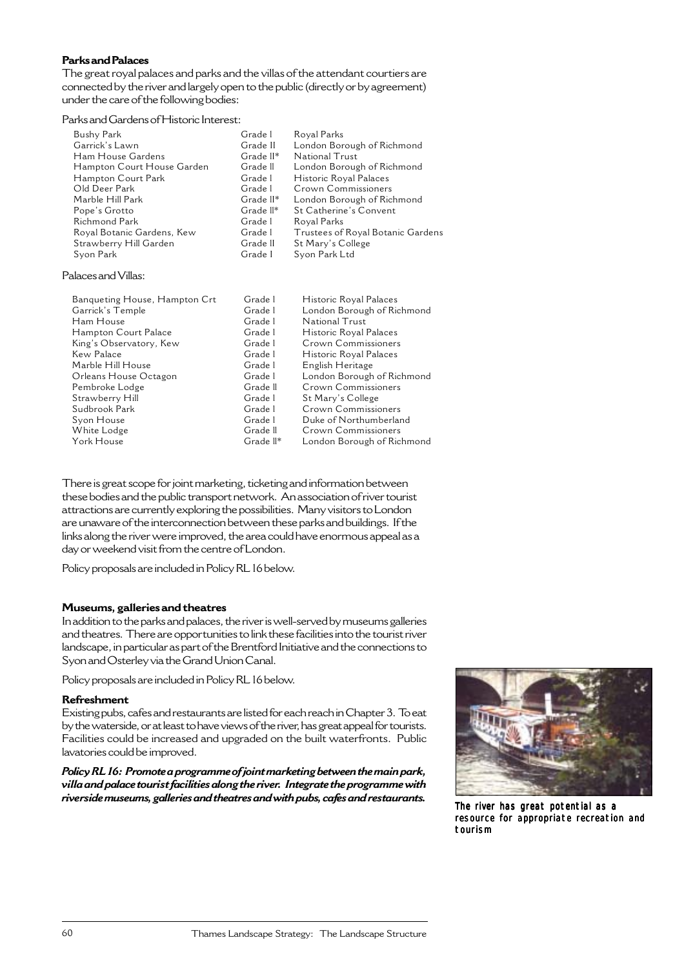## **Parks and Palaces**

The great royal palaces and parks and the villas of the attendant courtiers are connected by the river and largely open to the public (directly or by agreement) under the care of the following bodies:

## Parks and Gardens of Historic Interest:

| Grade 1   | Royal Parks                       |
|-----------|-----------------------------------|
| Grade II  | London Borough of Richmond        |
| Grade II* | National Trust                    |
| Grade II  | London Borough of Richmond        |
| Grade 1   | Historic Royal Palaces            |
| Grade 1   | Crown Commissioners               |
| Grade II* | London Borough of Richmond        |
| Grade II* | St Catherine's Convent            |
| Grade 1   | Royal Parks                       |
| Grade 1   | Trustees of Royal Botanic Gardens |
| Grade II  | St Mary's College                 |
| Grade I   | Syon Park Ltd                     |
|           |                                   |

## Palaces and Villas:

| Banqueting House, Hampton Crt | Grade 1   | Historic Royal Palaces     |
|-------------------------------|-----------|----------------------------|
| Garrick's Temple              | Grade 1   | London Borough of Richmond |
| Ham House                     | Grade 1   | National Trust             |
| Hampton Court Palace          | Grade 1   | Historic Royal Palaces     |
| King's Observatory, Kew       | Grade 1   | Crown Commissioners        |
| Kew Palace                    | Grade 1   | Historic Royal Palaces     |
| Marble Hill House             | Grade 1   | English Heritage           |
| Orleans House Octagon         | Grade 1   | London Borough of Richmond |
| Pembroke Lodge                | Grade II  | Crown Commissioners        |
| Strawberry Hill               | Grade 1   | St Mary's College          |
| Sudbrook Park                 | Grade 1   | Crown Commissioners        |
| Syon House                    | Grade 1   | Duke of Northumberland     |
| White Lodge                   | Grade II  | Crown Commissioners        |
| York House                    | Grade ll* | London Borough of Richmond |

There is great scope for joint marketing, ticketing and information between these bodies and the public transport network. An association of river tourist attractions are currently exploring the possibilities. Many visitors to London are unaware of the interconnection between these parks and buildings. If the links along the river were improved, the area could have enormous appeal as a day or weekend visit from the centre of London.

Policy proposals are included in Policy RL 16 below.

#### **Museums, galleries and theatres**

In addition to the parks and palaces, the river is well-served by museums galleries and theatres. There are opportunities to link these facilities into the tourist river landscape, in particular as part of the Brentford Initiative and the connections to Syon and Osterley via the Grand Union Canal.

Policy proposals are included in Policy RL 16 below.

#### **Refreshment**

Existing pubs, cafes and restaurants are listed for each reach in Chapter 3. To eat by the waterside, or at least to have views of the river, has great appeal for tourists. Facilities could be increased and upgraded on the built waterfronts. Public lavatories could be improved.

*Policy RL 16: Promote a programme of joint marketing between the main park, villa and palace tourist facilities along the river. Integrate the programme with riverside museums, galleries and theatres and with pubs, cafes and restaurants.* The river has great potential as a



resource for appropriate recreation and tourism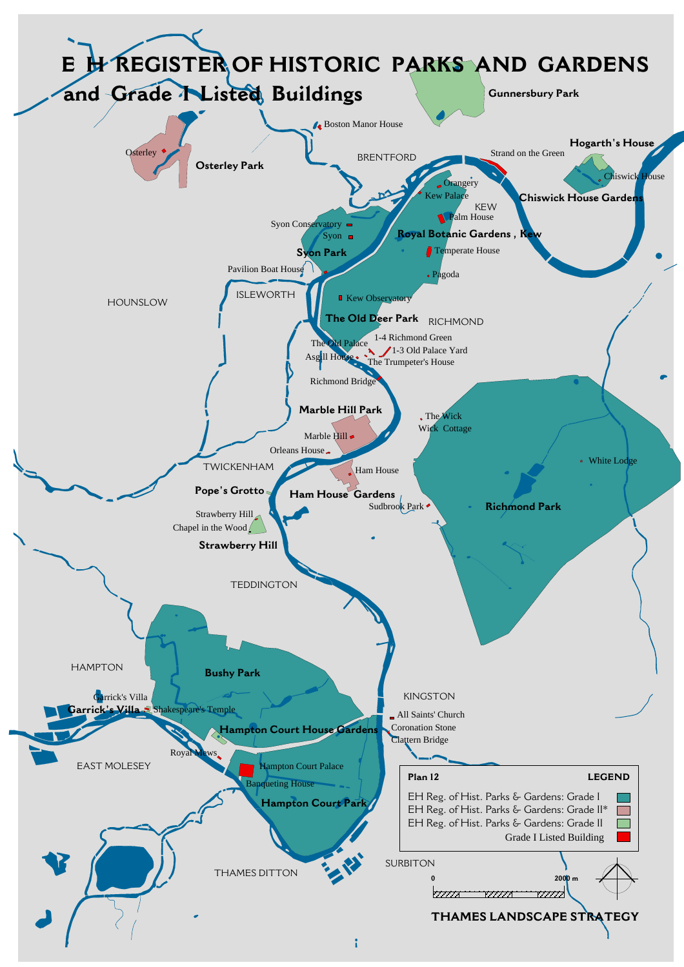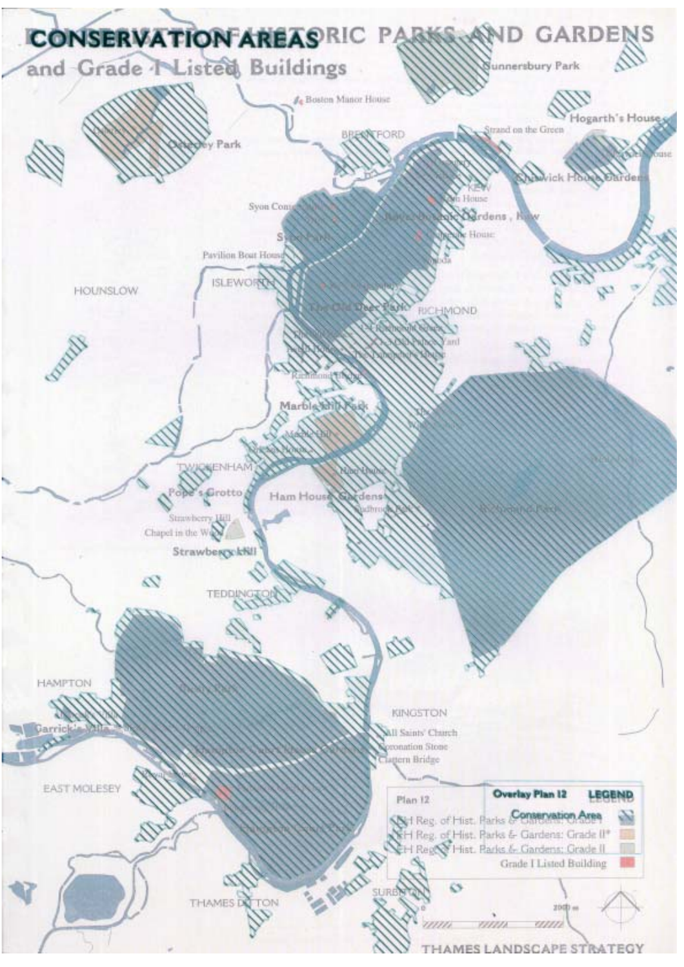